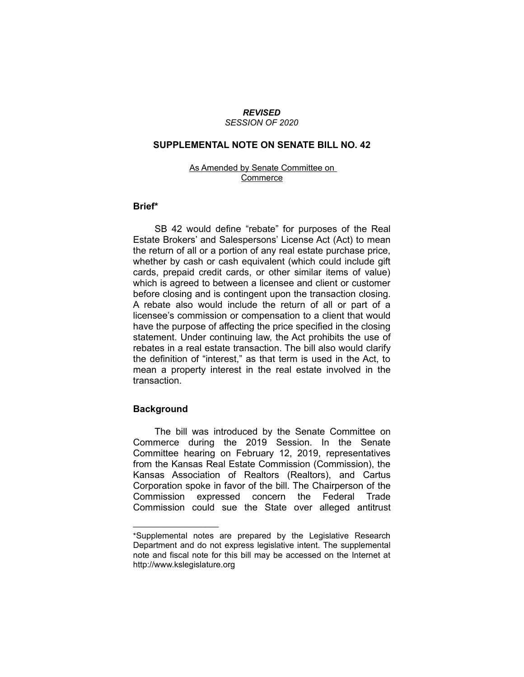#### *REVISED SESSION OF 2020*

## **SUPPLEMENTAL NOTE ON SENATE BILL NO. 42**

### As Amended by Senate Committee on **Commerce**

### **Brief\***

SB 42 would define "rebate" for purposes of the Real Estate Brokers' and Salespersons' License Act (Act) to mean the return of all or a portion of any real estate purchase price, whether by cash or cash equivalent (which could include gift cards, prepaid credit cards, or other similar items of value) which is agreed to between a licensee and client or customer before closing and is contingent upon the transaction closing. A rebate also would include the return of all or part of a licensee's commission or compensation to a client that would have the purpose of affecting the price specified in the closing statement. Under continuing law, the Act prohibits the use of rebates in a real estate transaction. The bill also would clarify the definition of "interest," as that term is used in the Act, to mean a property interest in the real estate involved in the transaction.

# **Background**

 $\overline{\phantom{a}}$  , where  $\overline{\phantom{a}}$ 

The bill was introduced by the Senate Committee on Commerce during the 2019 Session. In the Senate Committee hearing on February 12, 2019, representatives from the Kansas Real Estate Commission (Commission), the Kansas Association of Realtors (Realtors), and Cartus Corporation spoke in favor of the bill. The Chairperson of the Commission expressed concern the Federal Trade Commission could sue the State over alleged antitrust

<sup>\*</sup>Supplemental notes are prepared by the Legislative Research Department and do not express legislative intent. The supplemental note and fiscal note for this bill may be accessed on the Internet at http://www.kslegislature.org